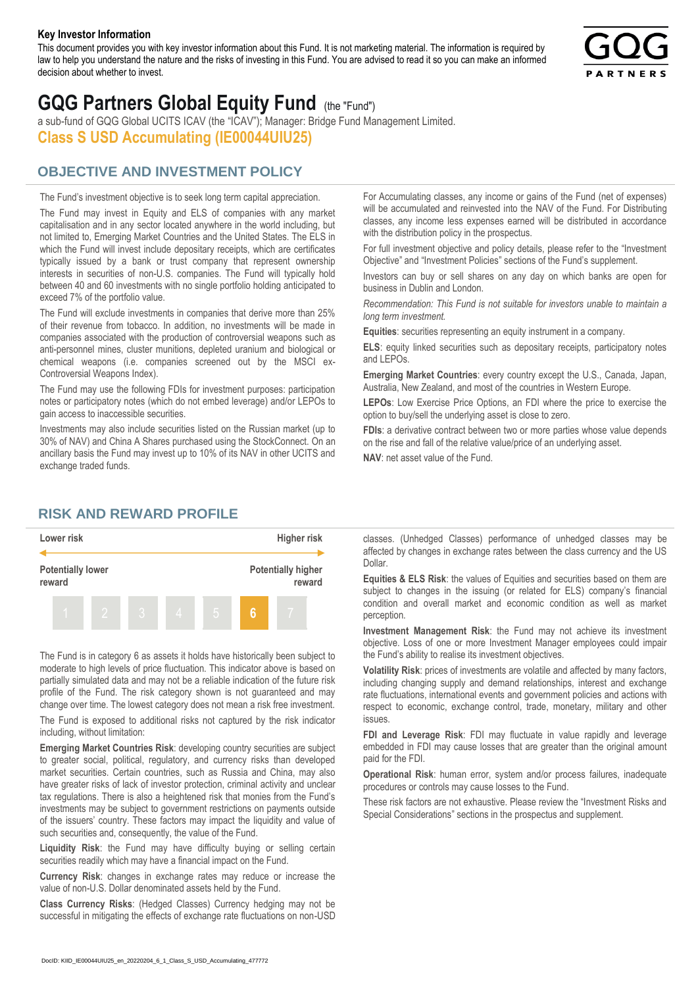#### **Key Investor Information**

This document provides you with key investor information about this Fund. It is not marketing material. The information is required by law to help you understand the nature and the risks of investing in this Fund. You are advised to read it so you can make an informed decision about whether to invest.



# **GQG Partners Global Equity Fund** (the "Fund")

a sub-fund of GQG Global UCITS ICAV (the "ICAV"); Manager: Bridge Fund Management Limited. **Class S USD Accumulating (IE00044UIU25)**

## **OBJECTIVE AND INVESTMENT POLICY**

The Fund's investment objective is to seek long term capital appreciation. The Fund may invest in Equity and ELS of companies with any market capitalisation and in any sector located anywhere in the world including, but not limited to, Emerging Market Countries and the United States. The ELS in which the Fund will invest include depositary receipts, which are certificates typically issued by a bank or trust company that represent ownership interests in securities of non-U.S. companies. The Fund will typically hold between 40 and 60 investments with no single portfolio holding anticipated to exceed 7% of the portfolio value.

The Fund will exclude investments in companies that derive more than 25% of their revenue from tobacco. In addition, no investments will be made in companies associated with the production of controversial weapons such as anti-personnel mines, cluster munitions, depleted uranium and biological or chemical weapons (i.e. companies screened out by the MSCI ex-Controversial Weapons Index).

The Fund may use the following FDIs for investment purposes: participation notes or participatory notes (which do not embed leverage) and/or LEPOs to gain access to inaccessible securities.

Investments may also include securities listed on the Russian market (up to 30% of NAV) and China A Shares purchased using the StockConnect. On an ancillary basis the Fund may invest up to 10% of its NAV in other UCITS and exchange traded funds.

For Accumulating classes, any income or gains of the Fund (net of expenses) will be accumulated and reinvested into the NAV of the Fund. For Distributing classes, any income less expenses earned will be distributed in accordance with the distribution policy in the prospectus.

For full investment objective and policy details, please refer to the "Investment Objective" and "Investment Policies" sections of the Fund's supplement.

Investors can buy or sell shares on any day on which banks are open for business in Dublin and London.

*Recommendation: This Fund is not suitable for investors unable to maintain a long term investment.*

**Equities**: securities representing an equity instrument in a company.

**ELS**: equity linked securities such as depositary receipts, participatory notes and LEPOs.

**Emerging Market Countries**: every country except the U.S., Canada, Japan, Australia, New Zealand, and most of the countries in Western Europe.

**LEPOs**: Low Exercise Price Options, an FDI where the price to exercise the option to buy/sell the underlying asset is close to zero.

**FDIs**: a derivative contract between two or more parties whose value depends on the rise and fall of the relative value/price of an underlying asset.

**NAV**: net asset value of the Fund.

### **RISK AND REWARD PROFILE**



The Fund is in category 6 as assets it holds have historically been subject to moderate to high levels of price fluctuation. This indicator above is based on partially simulated data and may not be a reliable indication of the future risk profile of the Fund. The risk category shown is not guaranteed and may change over time. The lowest category does not mean a risk free investment.

The Fund is exposed to additional risks not captured by the risk indicator including, without limitation:

**Emerging Market Countries Risk**: developing country securities are subject to greater social, political, regulatory, and currency risks than developed market securities. Certain countries, such as Russia and China, may also have greater risks of lack of investor protection, criminal activity and unclear tax regulations. There is also a heightened risk that monies from the Fund's investments may be subject to government restrictions on payments outside of the issuers' country. These factors may impact the liquidity and value of such securities and, consequently, the value of the Fund.

**Liquidity Risk**: the Fund may have difficulty buying or selling certain securities readily which may have a financial impact on the Fund.

**Currency Risk**: changes in exchange rates may reduce or increase the value of non-U.S. Dollar denominated assets held by the Fund.

**Class Currency Risks**: (Hedged Classes) Currency hedging may not be successful in mitigating the effects of exchange rate fluctuations on non-USD classes. (Unhedged Classes) performance of unhedged classes may be affected by changes in exchange rates between the class currency and the US Dollar.

**Equities & ELS Risk**: the values of Equities and securities based on them are subject to changes in the issuing (or related for ELS) company's financial condition and overall market and economic condition as well as market perception.

**Investment Management Risk**: the Fund may not achieve its investment objective. Loss of one or more Investment Manager employees could impair the Fund's ability to realise its investment objectives.

**Volatility Risk**: prices of investments are volatile and affected by many factors, including changing supply and demand relationships, interest and exchange rate fluctuations, international events and government policies and actions with respect to economic, exchange control, trade, monetary, military and other issues.

**FDI and Leverage Risk**: FDI may fluctuate in value rapidly and leverage embedded in FDI may cause losses that are greater than the original amount paid for the FDI.

**Operational Risk**: human error, system and/or process failures, inadequate procedures or controls may cause losses to the Fund.

These risk factors are not exhaustive. Please review the "Investment Risks and Special Considerations" sections in the prospectus and supplement.